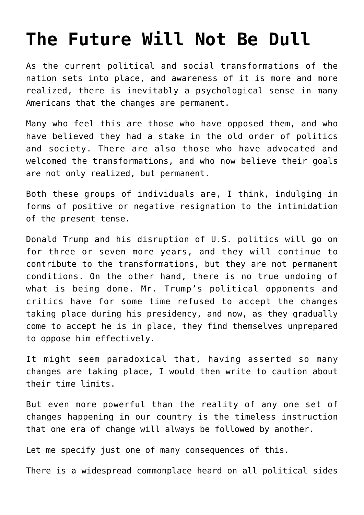## **[The Future Will Not Be Dull](https://intellectualtakeout.org/2018/01/the-future-will-not-be-dull/)**

As the current political and social transformations of the nation sets into place, and awareness of it is more and more realized, there is inevitably a psychological sense in many Americans that the changes are permanent.

Many who feel this are those who have opposed them, and who have believed they had a stake in the old order of politics and society. There are also those who have advocated and welcomed the transformations, and who now believe their goals are not only realized, but permanent.

Both these groups of individuals are, I think, indulging in forms of positive or negative resignation to the intimidation of the present tense.

Donald Trump and his disruption of U.S. politics will go on for three or seven more years, and they will continue to contribute to the transformations, but they are not permanent conditions. On the other hand, there is no true undoing of what is being done. Mr. Trump's political opponents and critics have for some time refused to accept the changes taking place during his presidency, and now, as they gradually come to accept he is in place, they find themselves unprepared to oppose him effectively.

It might seem paradoxical that, having asserted so many changes are taking place, I would then write to caution about their time limits.

But even more powerful than the reality of any one set of changes happening in our country is the timeless instruction that one era of change will always be followed by another.

Let me specify just one of many consequences of this.

There is a widespread commonplace heard on all political sides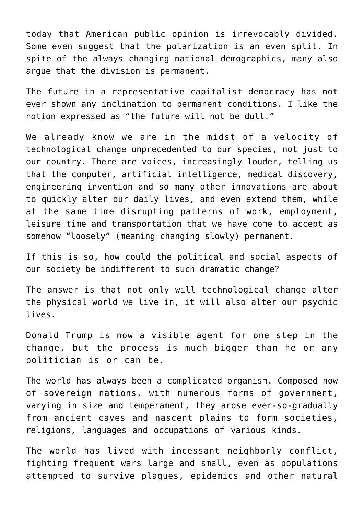today that American public opinion is irrevocably divided. Some even suggest that the polarization is an even split. In spite of the always changing national demographics, many also argue that the division is permanent.

The future in a representative capitalist democracy has not ever shown any inclination to permanent conditions. I like the notion expressed as "the future will not be dull."

We already know we are in the midst of a velocity of technological change unprecedented to our species, not just to our country. There are voices, increasingly louder, telling us that the computer, artificial intelligence, medical discovery, engineering invention and so many other innovations are about to quickly alter our daily lives, and even extend them, while at the same time disrupting patterns of work, employment, leisure time and transportation that we have come to accept as somehow "loosely" (meaning changing slowly) permanent.

If this is so, how could the political and social aspects of our society be indifferent to such dramatic change?

The answer is that not only will technological change alter the physical world we live in, it will also alter our psychic lives.

Donald Trump is now a visible agent for one step in the change, but the process is much bigger than he or any politician is or can be.

The world has always been a complicated organism. Composed now of sovereign nations, with numerous forms of government, varying in size and temperament, they arose ever-so-gradually from ancient caves and nascent plains to form societies, religions, languages and occupations of various kinds.

The world has lived with incessant neighborly conflict, fighting frequent wars large and small, even as populations attempted to survive plagues, epidemics and other natural